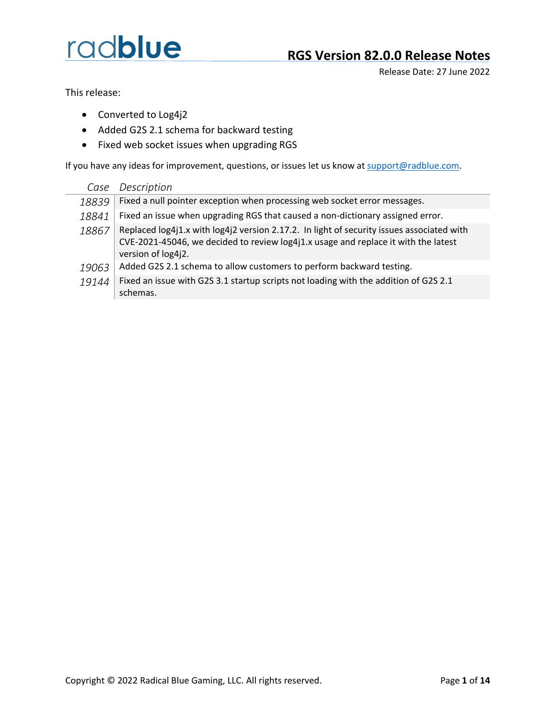Release Date: 27 June 2022

This release:

- Converted to Log4j2
- Added G2S 2.1 schema for backward testing
- Fixed web socket issues when upgrading RGS

If you have any ideas for improvement, questions, or issues let us know a[t support@radblue.com.](mailto:support@radblue.com)

| Case  | Description                                                                                                                                                                                           |
|-------|-------------------------------------------------------------------------------------------------------------------------------------------------------------------------------------------------------|
| 18839 | Fixed a null pointer exception when processing web socket error messages.                                                                                                                             |
| 18841 | Fixed an issue when upgrading RGS that caused a non-dictionary assigned error.                                                                                                                        |
| 18867 | Replaced log4j1.x with log4j2 version 2.17.2. In light of security issues associated with<br>CVE-2021-45046, we decided to review log4j1.x usage and replace it with the latest<br>version of log4j2. |
| 19063 | Added G2S 2.1 schema to allow customers to perform backward testing.                                                                                                                                  |
| 19144 | Fixed an issue with G2S 3.1 startup scripts not loading with the addition of G2S 2.1<br>schemas.                                                                                                      |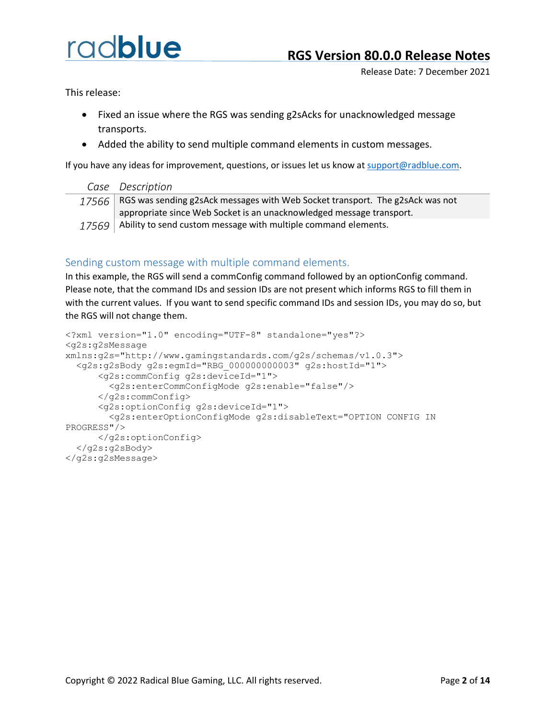Release Date: 7 December 2021

This release:

- Fixed an issue where the RGS was sending g2sAcks for unacknowledged message transports.
- Added the ability to send multiple command elements in custom messages.

If you have any ideas for improvement, questions, or issues let us know a[t support@radblue.com.](mailto:support@radblue.com)

| Case Description                                                                      |
|---------------------------------------------------------------------------------------|
| $17566$ RGS was sending g2sAck messages with Web Socket transport. The g2sAck was not |
| appropriate since Web Socket is an unacknowledged message transport.                  |
| $17569$ Ability to send custom message with multiple command elements.                |

#### Sending custom message with multiple command elements.

In this example, the RGS will send a commConfig command followed by an optionConfig command. Please note, that the command IDs and session IDs are not present which informs RGS to fill them in with the current values. If you want to send specific command IDs and session IDs, you may do so, but the RGS will not change them.

```
<?xml version="1.0" encoding="UTF-8" standalone="yes"?>
<g2s:g2sMessage 
xmlns:g2s="http://www.gamingstandards.com/g2s/schemas/v1.0.3">
  <g2s:g2sBody g2s:egmId="RBG_000000000003" g2s:hostId="1">
      <g2s:commConfig g2s:deviceId="1">
        <g2s:enterCommConfigMode g2s:enable="false"/>
      </g2s:commConfig>
      <g2s:optionConfig g2s:deviceId="1">
        <g2s:enterOptionConfigMode g2s:disableText="OPTION CONFIG IN 
PROGRESS"/>
      </g2s:optionConfig>
  </g2s:g2sBody>
</g2s:g2sMessage>
```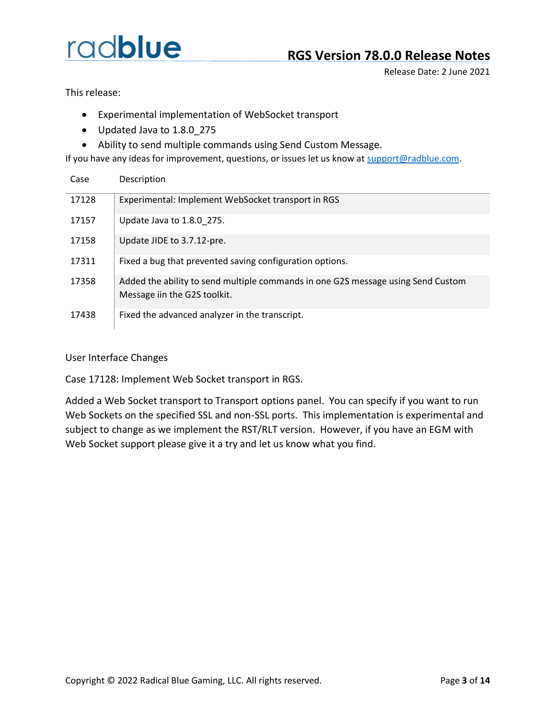Release Date: 2 June 2021

This release:

- Experimental implementation of WebSocket transport
- Updated Java to 1.8.0\_275
- Ability to send multiple commands using Send Custom Message.

If you have any ideas for improvement, questions, or issues let us know at [support@radblue.com.](mailto:support@radblue.com)

| Case  | Description                                                                                                      |
|-------|------------------------------------------------------------------------------------------------------------------|
| 17128 | Experimental: Implement WebSocket transport in RGS                                                               |
| 17157 | Update Java to 1.8.0 275.                                                                                        |
| 17158 | Update JIDE to 3.7.12-pre.                                                                                       |
| 17311 | Fixed a bug that prevented saving configuration options.                                                         |
| 17358 | Added the ability to send multiple commands in one G2S message using Send Custom<br>Message iin the G2S toolkit. |
| 17438 | Fixed the advanced analyzer in the transcript.                                                                   |

User Interface Changes

Case 17128: Implement Web Socket transport in RGS.

Added a Web Socket transport to Transport options panel. You can specify if you want to run Web Sockets on the specified SSL and non-SSL ports. This implementation is experimental and subject to change as we implement the RST/RLT version. However, if you have an EGM with Web Socket support please give it a try and let us know what you find.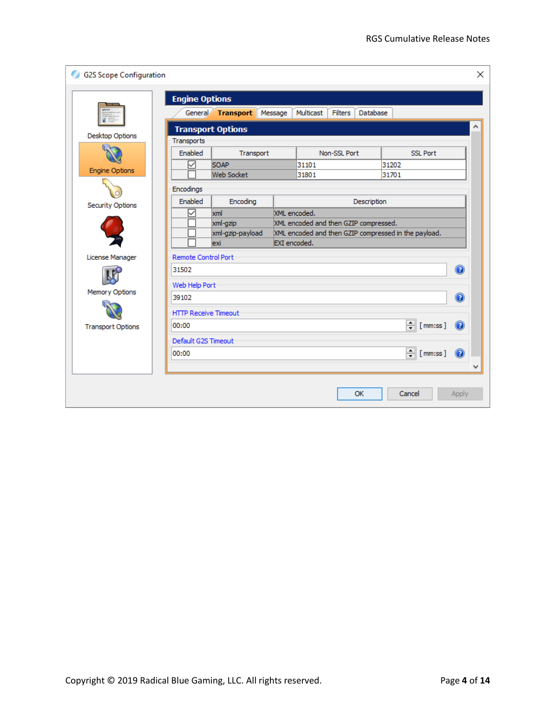| <b>G2S Scope Configuration</b> |                             |                          |              |                                       |              |             |                                                      |                   | × |
|--------------------------------|-----------------------------|--------------------------|--------------|---------------------------------------|--------------|-------------|------------------------------------------------------|-------------------|---|
|                                | <b>Engine Options</b>       |                          |              |                                       |              |             |                                                      |                   |   |
|                                |                             | General Transport        | Message      | Multicast                             | Filters      | Database    |                                                      |                   |   |
| Desktop Options                |                             | <b>Transport Options</b> |              |                                       |              |             |                                                      |                   |   |
|                                | Transports                  |                          |              |                                       |              |             |                                                      |                   |   |
|                                | Enabled                     | Transport                |              |                                       | Non-SSL Port |             | <b>SSL Port</b>                                      |                   |   |
| <b>Engine Options</b>          | ☑                           | <b>SOAP</b>              |              | 31101                                 |              |             | 31202                                                |                   |   |
|                                |                             | <b>Web Socket</b>        |              | 31801                                 |              |             | 31701                                                |                   |   |
|                                | Encodings                   |                          |              |                                       |              |             |                                                      |                   |   |
| <b>Security Options</b>        | Enabled                     | Encoding                 |              |                                       |              | Description |                                                      |                   |   |
|                                | ✓                           | xml                      |              | XML encoded.                          |              |             |                                                      |                   |   |
|                                |                             | xml-gzip                 |              | XML encoded and then GZIP compressed. |              |             |                                                      |                   |   |
|                                |                             | xml-gzip-payload<br>exi  | EXI encoded. |                                       |              |             | XML encoded and then GZIP compressed in the payload. |                   |   |
|                                |                             |                          |              |                                       |              |             |                                                      |                   |   |
| License Manager                | <b>Remote Control Port</b>  |                          |              |                                       |              |             |                                                      |                   |   |
|                                | 31502                       |                          |              |                                       |              |             |                                                      | $\circledR$       |   |
|                                | Web Help Port               |                          |              |                                       |              |             |                                                      |                   |   |
| Memory Options                 | 39102                       |                          |              |                                       |              |             |                                                      | $\left( 2\right)$ |   |
|                                | <b>HTTP Receive Timeout</b> |                          |              |                                       |              |             |                                                      |                   |   |
| <b>Transport Options</b>       | 00:00                       |                          |              |                                       |              |             | $\frac{1}{\sqrt{2}}$ [mm:ss ]                        |                   |   |
|                                | Default G2S Timeout         |                          |              |                                       |              |             |                                                      |                   |   |
|                                | 00:00                       |                          |              |                                       |              |             | $\frac{1}{\sqrt{2}}$ [mm:ss ]                        | Q                 |   |
|                                |                             |                          |              |                                       |              |             |                                                      |                   |   |
|                                |                             |                          |              |                                       |              | OK          | Cancel                                               | Apply             |   |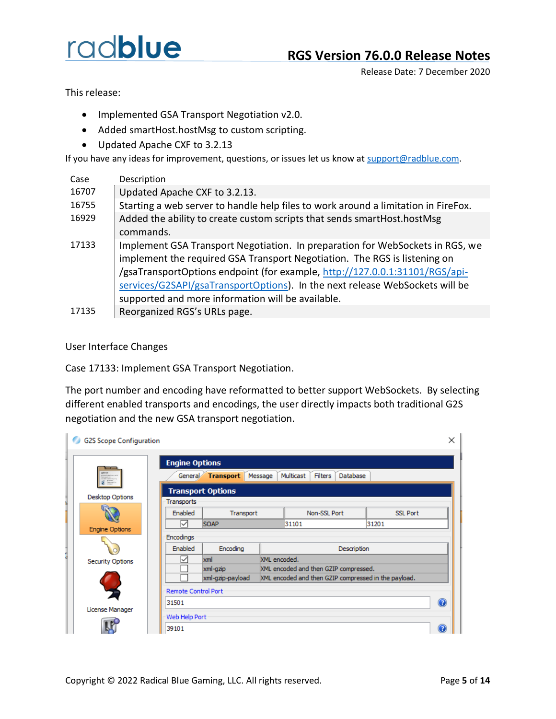Release Date: 7 December 2020

This release:

- Implemented GSA Transport Negotiation v2.0.
- Added smartHost.hostMsg to custom scripting.
- Updated Apache CXF to 3.2.13

If you have any ideas for improvement, questions, or issues let us know at [support@radblue.com.](mailto:support@radblue.com)

| Case  | Description                                                                        |
|-------|------------------------------------------------------------------------------------|
| 16707 | Updated Apache CXF to 3.2.13.                                                      |
| 16755 | Starting a web server to handle help files to work around a limitation in FireFox. |
| 16929 | Added the ability to create custom scripts that sends smartHost.hostMsg            |
|       | commands.                                                                          |
| 17133 | Implement GSA Transport Negotiation. In preparation for WebSockets in RGS, we      |
|       | implement the required GSA Transport Negotiation. The RGS is listening on          |
|       | /gsaTransportOptions endpoint (for example, http://127.0.0.1:31101/RGS/api-        |
|       | services/G2SAPI/gsaTransportOptions). In the next release WebSockets will be       |
|       | supported and more information will be available.                                  |
| 17135 | Reorganized RGS's URLs page.                                                       |

User Interface Changes

Case 17133: Implement GSA Transport Negotiation.

The port number and encoding have reformatted to better support WebSockets. By selecting different enabled transports and encodings, the user directly impacts both traditional G2S negotiation and the new GSA transport negotiation.

| <b>G2S Scope Configuration</b> |                            |                          |                                       |                                                      |             |                 | ×              |
|--------------------------------|----------------------------|--------------------------|---------------------------------------|------------------------------------------------------|-------------|-----------------|----------------|
|                                | <b>Engine Options</b>      |                          |                                       |                                                      |             |                 |                |
| g film                         |                            | General Transport        | Message                               | Multicast<br><b>Filters</b>                          | Database    |                 |                |
| Desktop Options                |                            | <b>Transport Options</b> |                                       |                                                      |             |                 |                |
|                                | Transports                 |                          |                                       |                                                      |             |                 |                |
|                                | Enabled                    | Transport                |                                       | Non-SSL Port                                         |             | <b>SSL Port</b> |                |
| <b>Engine Options</b>          | ⋉                          | <b>SOAP</b>              |                                       | 31101                                                |             | 31201           |                |
|                                | Encodings                  |                          |                                       |                                                      |             |                 |                |
|                                | Enabled                    | Encoding                 |                                       |                                                      | Description |                 |                |
| <b>Security Options</b>        | xml<br>⋉                   |                          | XML encoded.                          |                                                      |             |                 |                |
|                                |                            | xml-gzip                 | XML encoded and then GZIP compressed. |                                                      |             |                 |                |
|                                |                            | xml-gzip-payload         |                                       | XML encoded and then GZIP compressed in the payload. |             |                 |                |
|                                | <b>Remote Control Port</b> |                          |                                       |                                                      |             |                 |                |
|                                | 31501                      |                          |                                       |                                                      |             |                 | $\circledcirc$ |
| License Manager                | Web Help Port              |                          |                                       |                                                      |             |                 |                |
|                                | 39101                      |                          |                                       |                                                      |             |                 |                |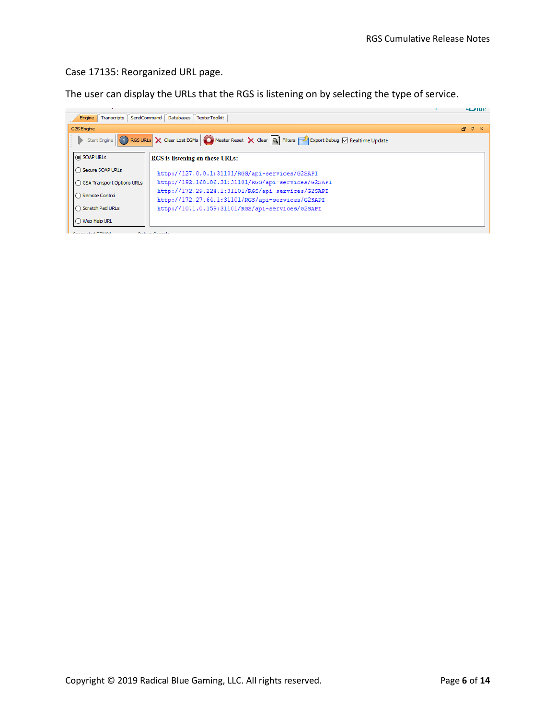#### Case 17135: Reorganized URL page.

The user can display the URLs that the RGS is listening on by selecting the type of service.

|                                                                                                                                                | <b>HLAINE</b> |
|------------------------------------------------------------------------------------------------------------------------------------------------|---------------|
| Engine Transcripts   SendCommand   Databases  <br><b>TesterToolkit</b>                                                                         |               |
| G2S Engine                                                                                                                                     | $\Box$ $\Box$ |
| Start Engine <b>G</b> RGS URLS X Clear Lost EGMs <b>G</b> Master Reset X Clear <b>Q</b> Filters <b>C</b> Export Debug <b>G</b> Realtime Update |               |
| SOAP URLS<br>RGS is listening on these URLs:                                                                                                   |               |
| ◯ Secure SOAP URLs<br>http://127.0.0.1:31101/RGS/api-services/G2SAPI                                                                           |               |
| http://192.168.86.31:31101/RGS/api-services/G2SAPI<br>◯ GSA Transport Options URLs                                                             |               |
| http://172.29.224.1:31101/RGS/api-services/G2SAPI<br>◯ Remote Control<br>http://172.27.64.1:31101/RGS/api-services/G2SAPI                      |               |
| ◯ Scratch Pad URLs<br>http://10.1.0.159:31101/RGS/api-services/G2SAPI                                                                          |               |
| ◯ Web Help URL                                                                                                                                 |               |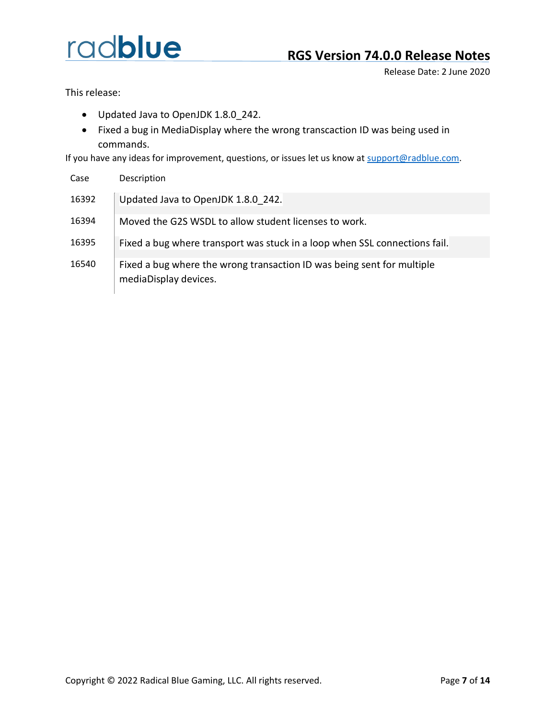Release Date: 2 June 2020

This release:

- Updated Java to OpenJDK 1.8.0\_242.
- Fixed a bug in MediaDisplay where the wrong transcaction ID was being used in commands.

If you have any ideas for improvement, questions, or issues let us know at [support@radblue.com.](mailto:support@radblue.com)

| Case  | Description                                                                                     |
|-------|-------------------------------------------------------------------------------------------------|
| 16392 | Updated Java to OpenJDK 1.8.0 242.                                                              |
| 16394 | Moved the G2S WSDL to allow student licenses to work.                                           |
| 16395 | Fixed a bug where transport was stuck in a loop when SSL connections fail.                      |
| 16540 | Fixed a bug where the wrong transaction ID was being sent for multiple<br>mediaDisplay devices. |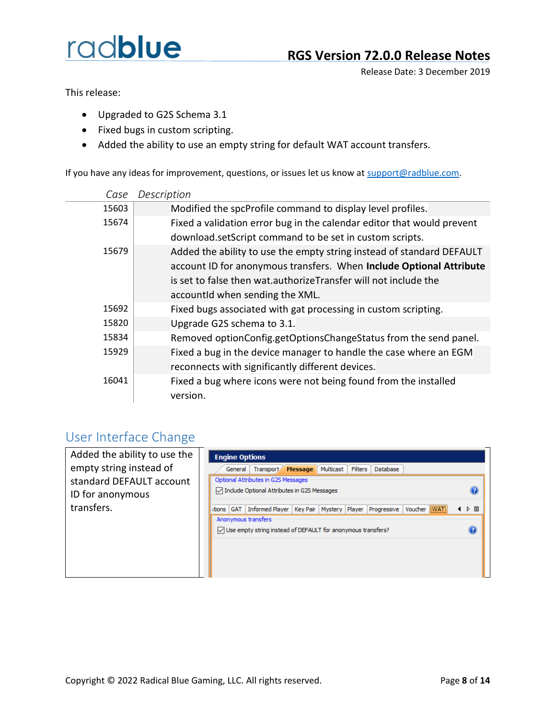Release Date: 3 December 2019

This release:

- Upgraded to G2S Schema 3.1
- Fixed bugs in custom scripting.
- Added the ability to use an empty string for default WAT account transfers.

If you have any ideas for improvement, questions, or issues let us know at [support@radblue.com.](mailto:support@radblue.com)

| Case  | Description                                                                 |
|-------|-----------------------------------------------------------------------------|
| 15603 | Modified the spcProfile command to display level profiles.                  |
| 15674 | Fixed a validation error bug in the calendar editor that would prevent      |
|       | download.setScript command to be set in custom scripts.                     |
| 15679 | Added the ability to use the empty string instead of standard DEFAULT       |
|       | account ID for anonymous transfers. When Include Optional Attribute         |
|       | is set to false then wat.authorizeTransfer will not include the             |
|       | accountid when sending the XML.                                             |
| 15692 | Fixed bugs associated with gat processing in custom scripting.              |
| 15820 | Upgrade G2S schema to 3.1.                                                  |
| 15834 | Removed optionConfig.getOptionsChangeStatus from the send panel.            |
| 15929 | Fixed a bug in the device manager to handle the case where an EGM           |
|       | reconnects with significantly different devices.                            |
| 16041 | Fixed a bug where icons were not being found from the installed<br>version. |

#### User Interface Change

| Added the ability to use the<br>empty string instead of | <b>Engine Options</b><br>Transport Message Multicast<br>Filters<br><b>Database</b><br>General                    |                  |
|---------------------------------------------------------|------------------------------------------------------------------------------------------------------------------|------------------|
| standard DEFAULT account                                | Optional Attributes in G2S Messages                                                                              |                  |
| ID for anonymous                                        | □ Include Optional Attributes in G2S Messages                                                                    |                  |
| transfers.                                              | Key Pair   Mystery   Player  <br>Informed Player<br>Progressive Voucher WAT<br>itions GAT<br>Anonymous transfers | ▷ 国              |
|                                                         | $\sqrt{\phantom{a}}$ Use empty string instead of DEFAULT for anonymous transfers?                                | $\mathbf \Omega$ |
|                                                         |                                                                                                                  |                  |
|                                                         |                                                                                                                  |                  |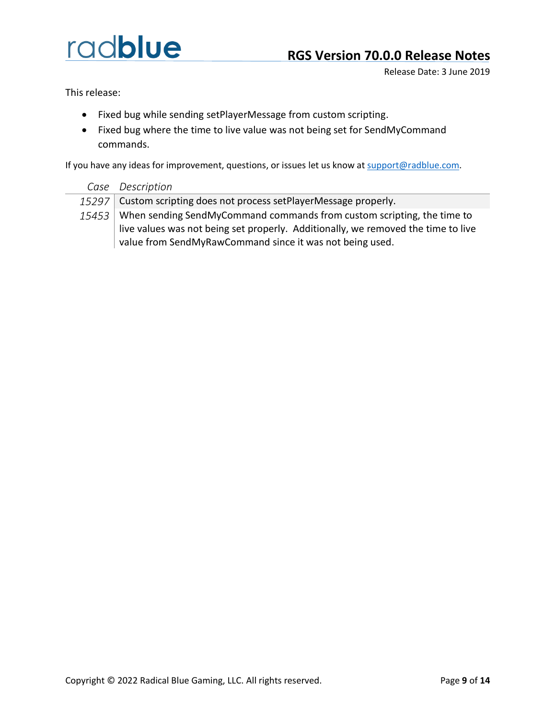Release Date: 3 June 2019

This release:

- Fixed bug while sending setPlayerMessage from custom scripting.
- Fixed bug where the time to live value was not being set for SendMyCommand commands.

If you have any ideas for improvement, questions, or issues let us know a[t support@radblue.com.](mailto:support@radblue.com)

| Case Description                                                                  |
|-----------------------------------------------------------------------------------|
| 15297   Custom scripting does not process setPlayerMessage properly.              |
| 15453 When sending SendMyCommand commands from custom scripting, the time to      |
| live values was not being set properly. Additionally, we removed the time to live |
| value from SendMyRawCommand since it was not being used.                          |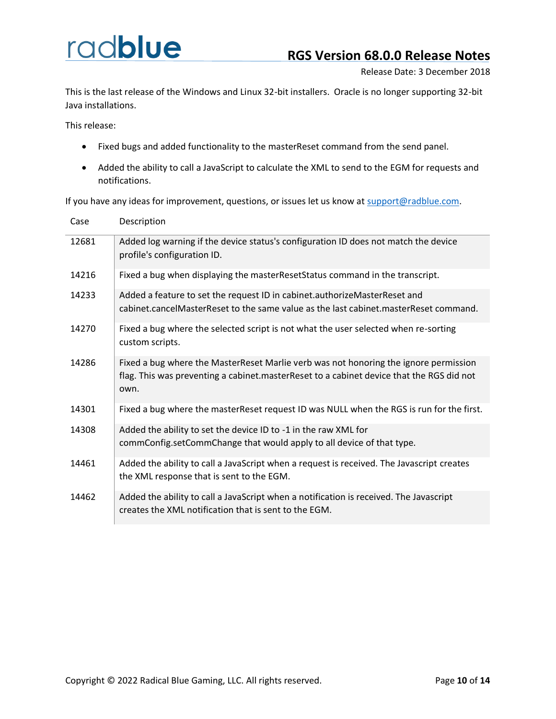I.

Release Date: 3 December 2018

This is the last release of the Windows and Linux 32-bit installers. Oracle is no longer supporting 32-bit Java installations.

This release:

- Fixed bugs and added functionality to the masterReset command from the send panel.
- Added the ability to call a JavaScript to calculate the XML to send to the EGM for requests and notifications.

If you have any ideas for improvement, questions, or issues let us know at [support@radblue.com.](mailto:support@radblue.com)

| Case  | Description                                                                                                                                                                              |
|-------|------------------------------------------------------------------------------------------------------------------------------------------------------------------------------------------|
| 12681 | Added log warning if the device status's configuration ID does not match the device<br>profile's configuration ID.                                                                       |
| 14216 | Fixed a bug when displaying the masterResetStatus command in the transcript.                                                                                                             |
| 14233 | Added a feature to set the request ID in cabinet.authorizeMasterReset and<br>cabinet.cancelMasterReset to the same value as the last cabinet.masterReset command.                        |
| 14270 | Fixed a bug where the selected script is not what the user selected when re-sorting<br>custom scripts.                                                                                   |
| 14286 | Fixed a bug where the MasterReset Marlie verb was not honoring the ignore permission<br>flag. This was preventing a cabinet.masterReset to a cabinet device that the RGS did not<br>own. |
| 14301 | Fixed a bug where the masterReset request ID was NULL when the RGS is run for the first.                                                                                                 |
| 14308 | Added the ability to set the device ID to -1 in the raw XML for<br>commConfig.setCommChange that would apply to all device of that type.                                                 |
| 14461 | Added the ability to call a JavaScript when a request is received. The Javascript creates<br>the XML response that is sent to the EGM.                                                   |
| 14462 | Added the ability to call a JavaScript when a notification is received. The Javascript<br>creates the XML notification that is sent to the EGM.                                          |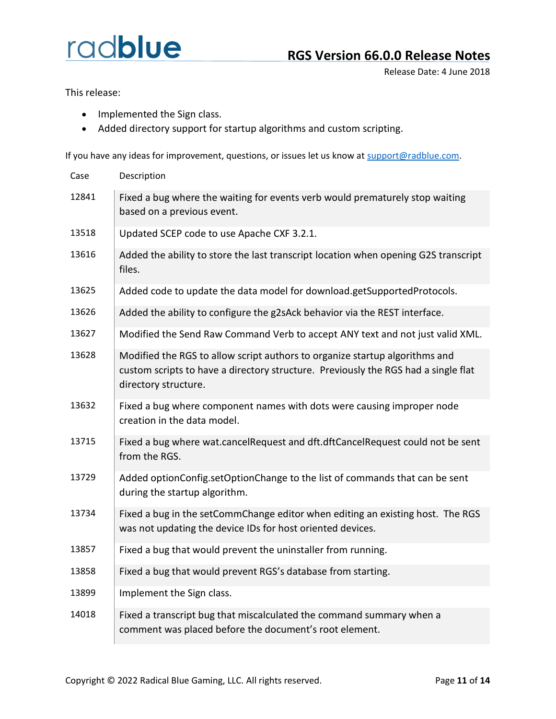Release Date: 4 June 2018

This release:

- Implemented the Sign class.
- Added directory support for startup algorithms and custom scripting.

If you have any ideas for improvement, questions, or issues let us know at [support@radblue.com.](mailto:support@radblue.com)

| Case  | Description                                                                                                                                                                               |
|-------|-------------------------------------------------------------------------------------------------------------------------------------------------------------------------------------------|
| 12841 | Fixed a bug where the waiting for events verb would prematurely stop waiting<br>based on a previous event.                                                                                |
| 13518 | Updated SCEP code to use Apache CXF 3.2.1.                                                                                                                                                |
| 13616 | Added the ability to store the last transcript location when opening G2S transcript<br>files.                                                                                             |
| 13625 | Added code to update the data model for download.getSupportedProtocols.                                                                                                                   |
| 13626 | Added the ability to configure the g2sAck behavior via the REST interface.                                                                                                                |
| 13627 | Modified the Send Raw Command Verb to accept ANY text and not just valid XML.                                                                                                             |
| 13628 | Modified the RGS to allow script authors to organize startup algorithms and<br>custom scripts to have a directory structure. Previously the RGS had a single flat<br>directory structure. |
| 13632 | Fixed a bug where component names with dots were causing improper node<br>creation in the data model.                                                                                     |
| 13715 | Fixed a bug where wat.cancelRequest and dft.dftCancelRequest could not be sent<br>from the RGS.                                                                                           |
| 13729 | Added optionConfig.setOptionChange to the list of commands that can be sent<br>during the startup algorithm.                                                                              |
| 13734 | Fixed a bug in the setCommChange editor when editing an existing host. The RGS<br>was not updating the device IDs for host oriented devices.                                              |
| 13857 | Fixed a bug that would prevent the uninstaller from running.                                                                                                                              |
| 13858 | Fixed a bug that would prevent RGS's database from starting.                                                                                                                              |
| 13899 | Implement the Sign class.                                                                                                                                                                 |
| 14018 | Fixed a transcript bug that miscalculated the command summary when a<br>comment was placed before the document's root element.                                                            |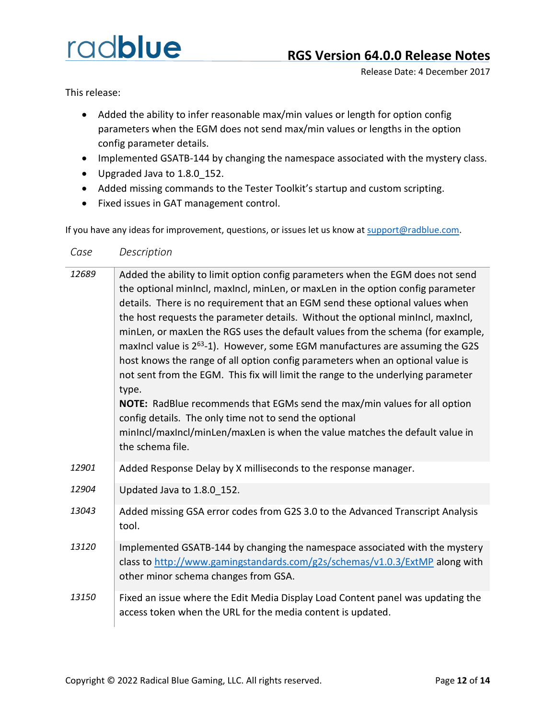This release:

- Added the ability to infer reasonable max/min values or length for option config parameters when the EGM does not send max/min values or lengths in the option config parameter details.
- Implemented GSATB-144 by changing the namespace associated with the mystery class.
- Upgraded Java to 1.8.0\_152.
- Added missing commands to the Tester Toolkit's startup and custom scripting.
- Fixed issues in GAT management control.

If you have any ideas for improvement, questions, or issues let us know a[t support@radblue.com.](mailto:support@radblue.com)

#### *Case Description*

| 12689 | Added the ability to limit option config parameters when the EGM does not send<br>the optional minincl, maxincl, minLen, or maxLen in the option config parameter<br>details. There is no requirement that an EGM send these optional values when<br>the host requests the parameter details. Without the optional minIncl, maxIncl,<br>minLen, or maxLen the RGS uses the default values from the schema (for example,<br>maxincl value is 2 <sup>63</sup> -1). However, some EGM manufactures are assuming the G2S<br>host knows the range of all option config parameters when an optional value is<br>not sent from the EGM. This fix will limit the range to the underlying parameter<br>type.<br>NOTE: RadBlue recommends that EGMs send the max/min values for all option<br>config details. The only time not to send the optional<br>minIncl/maxIncl/minLen/maxLen is when the value matches the default value in<br>the schema file. |
|-------|------------------------------------------------------------------------------------------------------------------------------------------------------------------------------------------------------------------------------------------------------------------------------------------------------------------------------------------------------------------------------------------------------------------------------------------------------------------------------------------------------------------------------------------------------------------------------------------------------------------------------------------------------------------------------------------------------------------------------------------------------------------------------------------------------------------------------------------------------------------------------------------------------------------------------------------------|
| 12901 | Added Response Delay by X milliseconds to the response manager.                                                                                                                                                                                                                                                                                                                                                                                                                                                                                                                                                                                                                                                                                                                                                                                                                                                                                |
| 12904 | Updated Java to 1.8.0_152.                                                                                                                                                                                                                                                                                                                                                                                                                                                                                                                                                                                                                                                                                                                                                                                                                                                                                                                     |
| 13043 | Added missing GSA error codes from G2S 3.0 to the Advanced Transcript Analysis<br>tool.                                                                                                                                                                                                                                                                                                                                                                                                                                                                                                                                                                                                                                                                                                                                                                                                                                                        |
| 13120 | Implemented GSATB-144 by changing the namespace associated with the mystery<br>class to http://www.gamingstandards.com/g2s/schemas/v1.0.3/ExtMP along with<br>other minor schema changes from GSA.                                                                                                                                                                                                                                                                                                                                                                                                                                                                                                                                                                                                                                                                                                                                             |
| 13150 | Fixed an issue where the Edit Media Display Load Content panel was updating the<br>access token when the URL for the media content is updated.                                                                                                                                                                                                                                                                                                                                                                                                                                                                                                                                                                                                                                                                                                                                                                                                 |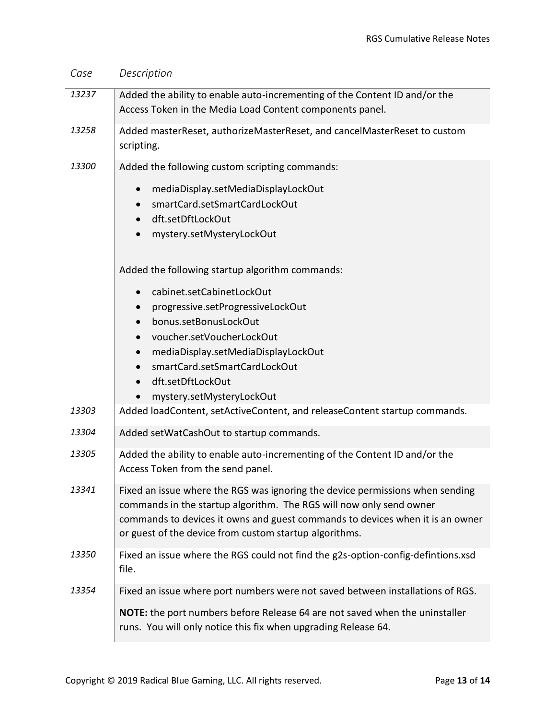| Case  | Description                                                                                                                                                                                                                                                                                     |
|-------|-------------------------------------------------------------------------------------------------------------------------------------------------------------------------------------------------------------------------------------------------------------------------------------------------|
| 13237 | Added the ability to enable auto-incrementing of the Content ID and/or the<br>Access Token in the Media Load Content components panel.                                                                                                                                                          |
| 13258 | Added masterReset, authorizeMasterReset, and cancelMasterReset to custom<br>scripting.                                                                                                                                                                                                          |
| 13300 | Added the following custom scripting commands:                                                                                                                                                                                                                                                  |
|       | mediaDisplay.setMediaDisplayLockOut<br>$\bullet$<br>smartCard.setSmartCardLockOut<br>dft.setDftLockOut<br>$\bullet$<br>mystery.setMysteryLockOut                                                                                                                                                |
|       | Added the following startup algorithm commands:                                                                                                                                                                                                                                                 |
|       | cabinet.setCabinetLockOut<br>$\bullet$<br>progressive.setProgressiveLockOut<br>bonus.setBonusLockOut<br>voucher.setVoucherLockOut<br>mediaDisplay.setMediaDisplayLockOut<br>$\bullet$<br>smartCard.setSmartCardLockOut<br>dft.setDftLockOut<br>mystery.setMysteryLockOut                        |
| 13303 | Added loadContent, setActiveContent, and releaseContent startup commands.                                                                                                                                                                                                                       |
| 13304 | Added setWatCashOut to startup commands.                                                                                                                                                                                                                                                        |
| 13305 | Added the ability to enable auto-incrementing of the Content ID and/or the<br>Access Token from the send panel.                                                                                                                                                                                 |
| 13341 | Fixed an issue where the RGS was ignoring the device permissions when sending<br>commands in the startup algorithm. The RGS will now only send owner<br>commands to devices it owns and guest commands to devices when it is an owner<br>or guest of the device from custom startup algorithms. |
| 13350 | Fixed an issue where the RGS could not find the g2s-option-config-defintions.xsd<br>file.                                                                                                                                                                                                       |
| 13354 | Fixed an issue where port numbers were not saved between installations of RGS.                                                                                                                                                                                                                  |
|       | NOTE: the port numbers before Release 64 are not saved when the uninstaller<br>runs. You will only notice this fix when upgrading Release 64.                                                                                                                                                   |